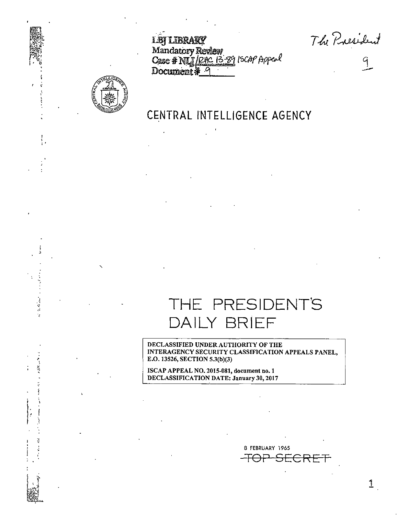The President  $rac{q}{q}$ 



网络网络

## CENTRAL INTELLIGENCE AGENCY

Mandatory Review<br>Case # NUJ/RHC 13-89 15CAP Appeal

**LBT LIBRARY** 

Document \*

THE PRESIDENT'S DAILY BRIEF

DECLASSIFIED UNDER AUTHORITY OF THE INTERAGENCY SECURITY CLASSIFICATION APPEALS PANEL, E.O. 13526, SECTION 5.3(b)(3)

ISCAP APPEAL NO. 2015-081, document no. 1<br>DECLASSIFICATION DATE: January 30, 2017

8 FEBRUARY 1965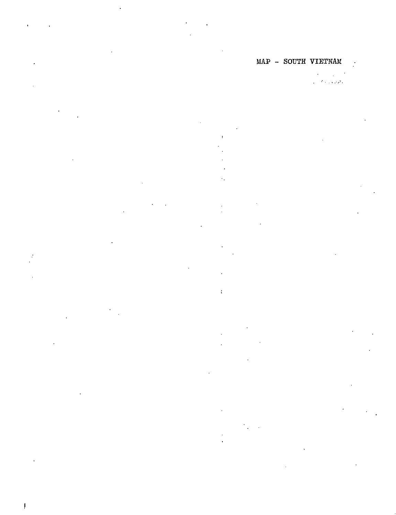# 

 $\mathbf{r}$ 

 $\overline{\mathbf{r}}$ 

 $\ddot{\ddot{\cdot}}$ 

 $\cdot$ 

ï

 $\mathbf{I}$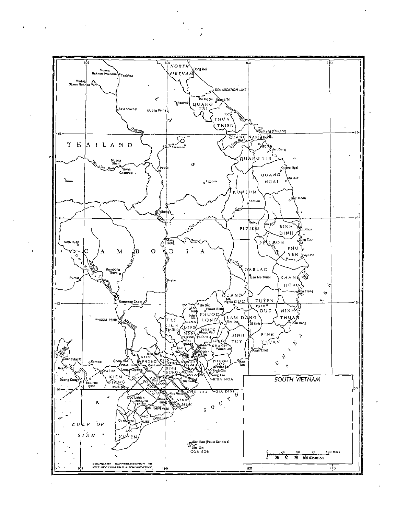

 $\mathbf{r}$ 

**Contractor** 

 $\lambda$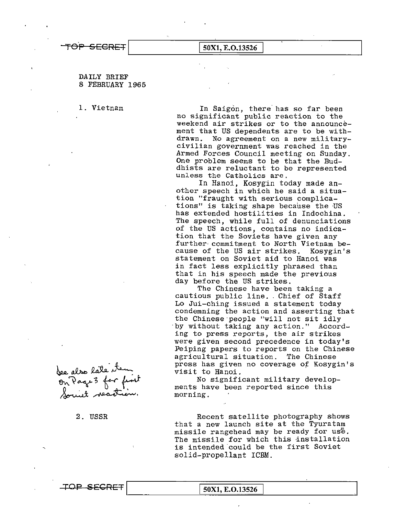# TOP SECRET 50X1, E.O.13526

## DAILY BRIEF 8 FEBRUARY 1965

1. Vietnam In Saigon, there has so far been no significant public reaction to the weekend air strikes or to the announcement that US dependents are to be withdrawn. No agreement on a new militarycivilian government was reached in the Armed Forces Council meeting on Sunday. One problem seems to be that the Buddhists are reluctant to be represented unless the Catholics are.

> In Hanoi, Kosygin today made another speech in which he said a situation "fraught with serious complications" is taking shape because the US has extended hostilities in Indochina. The speech, while full of denunciations of the US actions, contains no indication that the Soviets have given any further commitment to North Vietnam be-<br>cause of the US air strikes. Kosygin's cause of the US air strikes. statement on Soviet aid to Hanoi was in fact less explicitly phrased than that in his speech made the previous day before the US strikes.

The Chinese have been taking a cautious public line. Chief of Staff Lo Jui-ching issued a statement today condemning the action and asserting that the Chinese·people "will not sit idly by without taking any action." According to press reports, the air strikes were given second precedence in today's Peiping papers to reports on the Chinese agricultural situation. The Chinese press has given no coverage of Kosygin's visit to Hanoi.

No significant military develop ments have been reported since this morning.

 Recent satellite photography shows that a new launch site at the Tyuratam missile rangehead may be ready for us<sup>6</sup>. The missile for which this installation is intended.could be the first Soviet solid-propellant ICBM.

bee also late item<br>On Page 3 for fint<br>Sount neartion.

2. USSR

TOP SECRET 50X1, E.O.13526.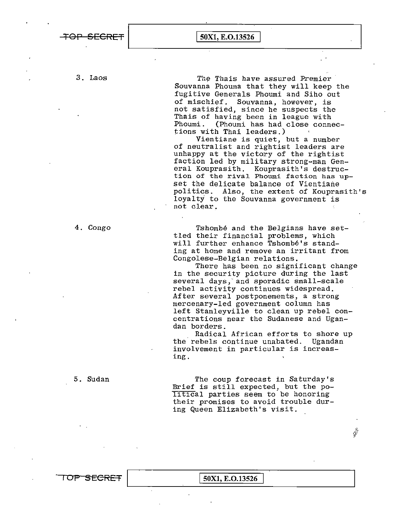**TOP SECRET** I **50Xl, E.0.13526** 

3. Laos The Thais have assured Premier Souvanna Phouma that they will keep the fugitive Generals Phoumi and Siho out of mischief. Souvanna, however, is not satisfied, since he suspects the Thais of having been in league with<br>Phoumi. (Phoumi has had close conne Phoumi. (Phoumi has had close connections with Thai leaders.)

> Vientiane is quiet, but a number of neutralist and rightist leaders are unhappy at the victory of the rightist faction led by military strong-man General Kouprasith. Kouprasith's destruction of the rival Phoumi faction has upset the delicate balance of Vientiane politics. Also, the extent of Kouprasith's loyalty to the Souvanna government is not clear.

4. Congo Tshombe and the Belgians have settled their financial problems, which will further enhance Tshombe's standing at home and remove an irritant from Congolese-Belgian relations.

> There has been no significant change in the security picture during the last several days, and sporadic small-scale rebel activity continues widespread. After several postponements, a strong mercenary-led government column has left Stanleyville to clean up rebel concentrations near the Sudanese and Ugandan borders.

Radical African efforts to shore up the rebels continue unabated. Ugandan involvement in particular is increasing.

5. Sudan The coup forecast in Saturday's Brief is still expected, but the political parties seem to be honoring their promises to avoid trouble during Queen Elizabeth's visit,

 $\hat{\mathcal{G}}$ 

**TOP SECRET** | 50X1, E.O.13526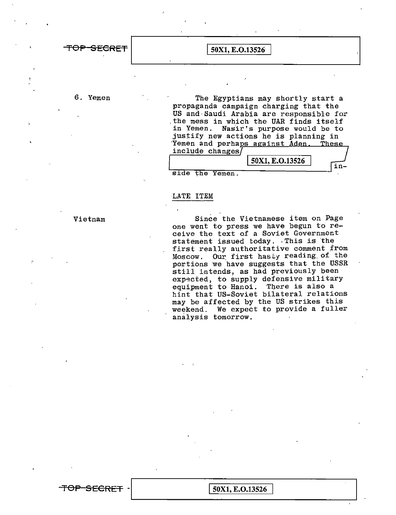**TOP SECRET.**<br> $\boxed{50X1, E. O.13526}$ 

6. Yemen The Egyptians may shortly start a propaganda campaign charging that the US and· Saudi Arabia are responsible for .the mess in which the UAR finds itself in Yemen. Nasir's purpose would be to justify new actions he is planning in Yemen and perhaps against Aden. These include changes

|      |     |        | 50X1, E.O.13526 |  |
|------|-----|--------|-----------------|--|
|      |     |        |                 |  |
| side | the | Yemen. |                 |  |

### -LATE ITEM

**TOP SECRET** -.\_I**\_\_\_\_\_\_\_** 1\_s~ox\_1\_,\_E\_.o\_.1\_3\_s2\_6 **\_\_\_\_\_\_\_\_\_J**

Vietnam

Since the Vietnamese item on Page one went to press we have begun to receive the text of a Soviet Government<br>statement issued today. This is the statement issued today. This is the<br>first really authoritative comment from Moscow. Our first hasty reading of the portions we have suggests that the USSR still intends, as had previously been expected, to supply defensive military equipment to Hanoi. There is also a hint that US-Soviet bilateral relations may be affected by the US strikes this weekend. We expect to provide a fuller analysis tomorrow.